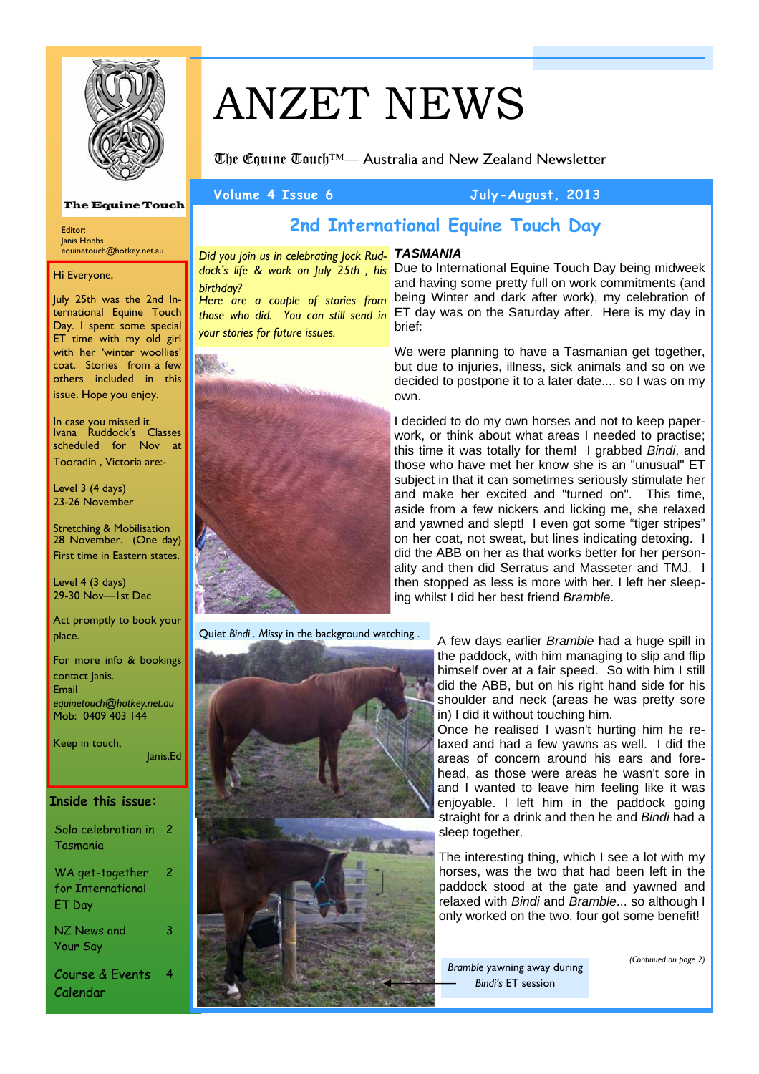

# ANZET NEWS

The Equine Touch™— Australia and New Zealand Newsletter

### **Volume 4 Issue 6 July-August, 2013**

#### **The Equine Touch**

Editor: Janis Hobbs equinetouch@hotkey.net.au

Hi Everyone,

July 25th was the 2nd International Equine Touch Day. I spent some special ET time with my old girl with her 'winter woollies' coat. Stories from a few others included in this issue. Hope you enjoy.

In case you missed it Ivana Ruddock's Classes scheduled for Nov at Tooradin , Victoria are:-

Level 3 (4 days) 23-26 November

Stretching & Mobilisation 28 November. (One day) First time in Eastern states.

Level 4 (3 days) 29-30 Nov—1st Dec

Act promptly to book your place.

For more info & bookings contact Janis. Email *equinetouch@hotkey.net.au*  Mob: 0409 403 144

Keep in touch, Janis,Ed

#### **Inside this issue:**

| Solo celebration in 2<br>Tasmania              |   |
|------------------------------------------------|---|
| WA get-together<br>for International<br>ET Day | 2 |
| NZ News and<br>Your Say                        | з |
| Course & Events<br>Calendar                    | 4 |

# **2nd International Equine Touch Day**

*TASMANIA Did you join us in celebrating Jock Rudbirthday?* 

*Here are a couple of stories from those who did. You can still send in your stories for future issues.* 



Quiet *Bindi . Missy* in the background watching .



dock's life & work on July 25th, his Due to International Equine Touch Day being midweek and having some pretty full on work commitments (and being Winter and dark after work), my celebration of ET day was on the Saturday after. Here is my day in brief:

> We were planning to have a Tasmanian get together, but due to injuries, illness, sick animals and so on we decided to postpone it to a later date.... so I was on my own.

> I decided to do my own horses and not to keep paperwork, or think about what areas I needed to practise; this time it was totally for them! I grabbed *Bindi*, and those who have met her know she is an "unusual" ET subject in that it can sometimes seriously stimulate her and make her excited and "turned on". This time, aside from a few nickers and licking me, she relaxed and yawned and slept! I even got some "tiger stripes" on her coat, not sweat, but lines indicating detoxing. I did the ABB on her as that works better for her personality and then did Serratus and Masseter and TMJ. I then stopped as less is more with her. I left her sleeping whilst I did her best friend *Bramble*.

> > A few days earlier *Bramble* had a huge spill in the paddock, with him managing to slip and flip himself over at a fair speed. So with him I still did the ABB, but on his right hand side for his shoulder and neck (areas he was pretty sore in) I did it without touching him.

> > Once he realised I wasn't hurting him he relaxed and had a few yawns as well. I did the areas of concern around his ears and forehead, as those were areas he wasn't sore in and I wanted to leave him feeling like it was enjoyable. I left him in the paddock going straight for a drink and then he and *Bindi* had a sleep together.

> > The interesting thing, which I see a lot with my horses, was the two that had been left in the paddock stood at the gate and yawned and relaxed with *Bindi* and *Bramble*... so although I only worked on the two, four got some benefit!

*Bramble* yawning away during *Bindi's* ET session

*(Continued on page 2)*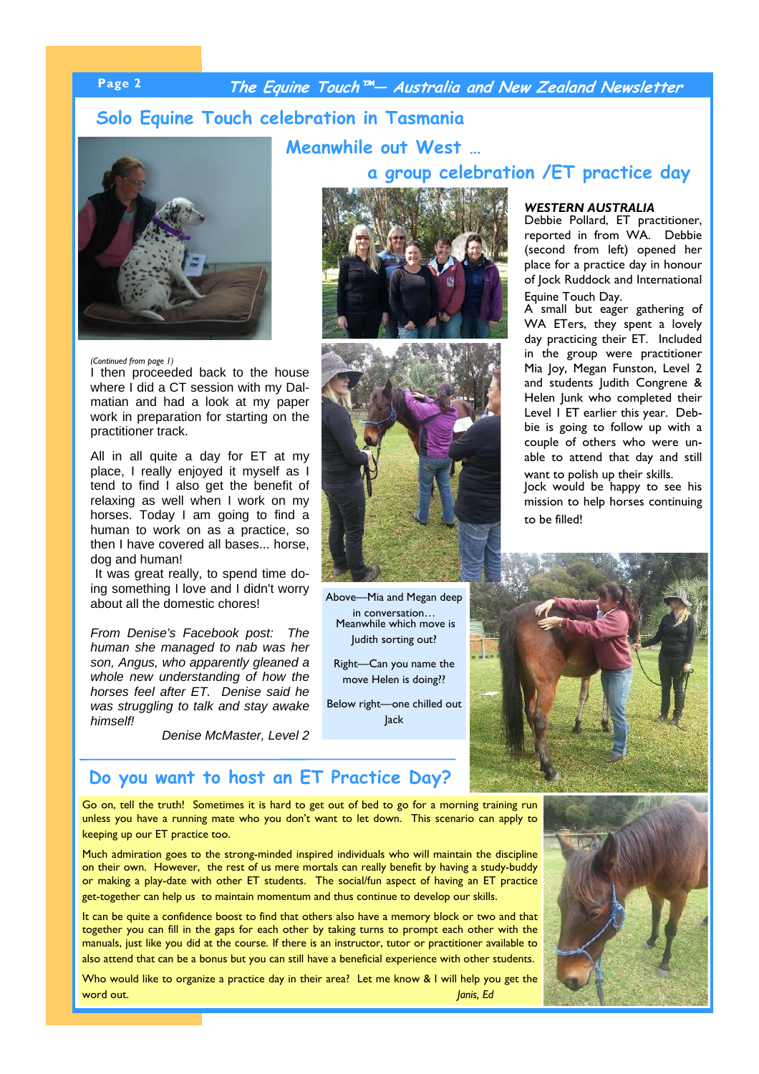# **Page 2 The Equine Touch™— Australia and New Zealand Newsletter**

## **Solo Equine Touch celebration in Tasmania**



#### *(Continued from page 1)*

I then proceeded back to the house where I did a CT session with my Dalmatian and had a look at my paper work in preparation for starting on the practitioner track.

All in all quite a day for ET at my place, I really enjoyed it myself as I tend to find I also get the benefit of relaxing as well when I work on my horses. Today I am going to find a human to work on as a practice, so then I have covered all bases... horse, dog and human!

It was great really, to spend time doing something I love and I didn't worry about all the domestic chores!

*From Denise's Facebook post: The human she managed to nab was her son, Angus, who apparently gleaned a whole new understanding of how the horses feel after ET. Denise said he was struggling to talk and stay awake himself!* 

*Denise McMaster, Level 2*

# **a group celebration /ET practice day**



**Meanwhile out West …** 



Above—Mia and Megan deep in conversation… Meanwhile which move is Judith sorting out?

Right—Can you name the move Helen is doing??

Below right—one chilled out Jack

# *WESTERN AUSTRALIA*

Debbie Pollard, ET practitioner, reported in from WA. Debbie (second from left) opened her place for a practice day in honour of Jock Ruddock and International Equine Touch Day.

A small but eager gathering of WA ETers, they spent a lovely day practicing their ET. Included in the group were practitioner Mia Joy, Megan Funston, Level 2 and students Judith Congrene & Helen Junk who completed their Level 1 ET earlier this year. Debbie is going to follow up with a couple of others who were unable to attend that day and still want to polish up their skills.

Jock would be happy to see his mission to help horses continuing to be filled!



### **Do you want to host an ET Practice Day?**

Go on, tell the truth! Sometimes it is hard to get out of bed to go for a morning training run unless you have a running mate who you don't want to let down. This scenario can apply to keeping up our ET practice too.

Much admiration goes to the strong-minded inspired individuals who will maintain the discipline on their own. However, the rest of us mere mortals can really benefit by having a study-buddy or making a play-date with other ET students. The social/fun aspect of having an ET practice get-together can help us to maintain momentum and thus continue to develop our skills.

It can be quite a confidence boost to find that others also have a memory block or two and that together you can fill in the gaps for each other by taking turns to prompt each other with the manuals, just like you did at the course. If there is an instructor, tutor or practitioner available to also attend that can be a bonus but you can still have a beneficial experience with other students.

Who would like to organize a practice day in their area? Let me know & I will help you get the word out. *Janis, Ed* 

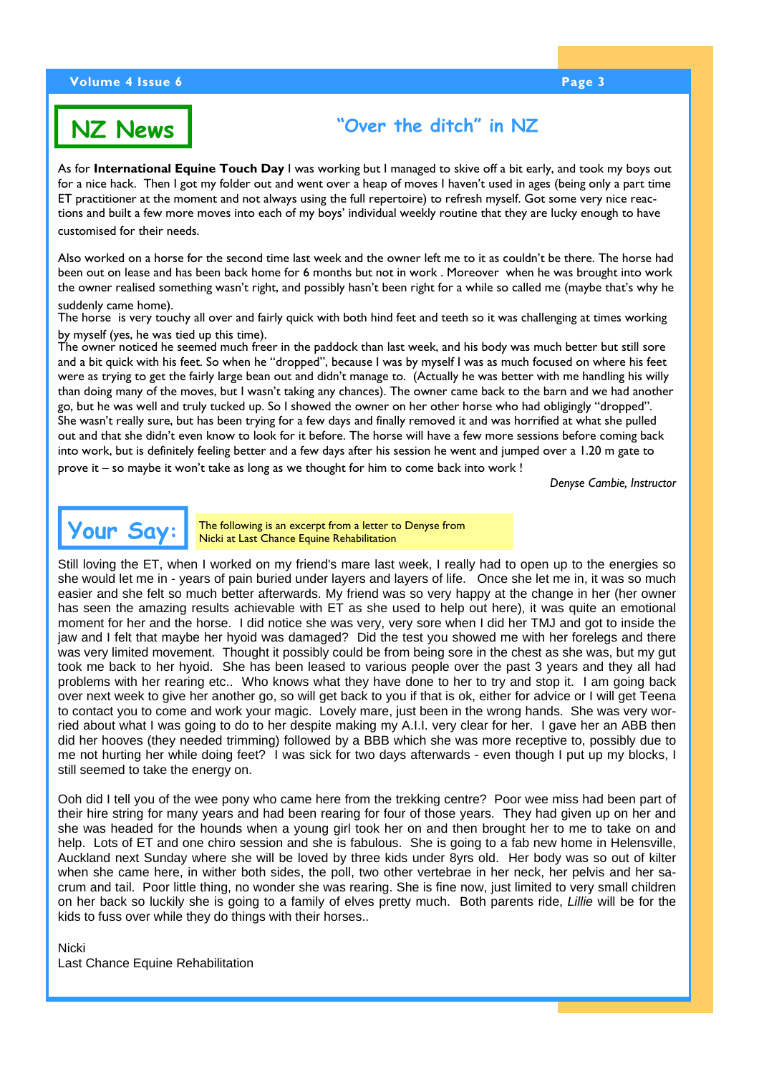#### **Volume 4 Issue 6 Page 3 Apple 2 Apple 2 Apple 2 Apple 2 Apple 2 Apple 2 Apple 2 Apple 2 Apple 2 Apple 2 Apple 2**



# **"Over the ditch" in NZ**

As for **International Equine Touch Day** I was working but I managed to skive off a bit early, and took my boys out for a nice hack. Then I got my folder out and went over a heap of moves I haven't used in ages (being only a part time ET practitioner at the moment and not always using the full repertoire) to refresh myself. Got some very nice reactions and built a few more moves into each of my boys' individual weekly routine that they are lucky enough to have customised for their needs.

Also worked on a horse for the second time last week and the owner left me to it as couldn't be there. The horse had been out on lease and has been back home for 6 months but not in work . Moreover when he was brought into work the owner realised something wasn't right, and possibly hasn't been right for a while so called me (maybe that's why he

#### suddenly came home).

The horse is very touchy all over and fairly quick with both hind feet and teeth so it was challenging at times working by myself (yes, he was tied up this time).

The owner noticed he seemed much freer in the paddock than last week, and his body was much better but still sore and a bit quick with his feet. So when he "dropped", because I was by myself I was as much focused on where his feet were as trying to get the fairly large bean out and didn't manage to. (Actually he was better with me handling his willy than doing many of the moves, but I wasn't taking any chances). The owner came back to the barn and we had another go, but he was well and truly tucked up. So I showed the owner on her other horse who had obligingly "dropped". She wasn't really sure, but has been trying for a few days and finally removed it and was horrified at what she pulled out and that she didn't even know to look for it before. The horse will have a few more sessions before coming back into work, but is definitely feeling better and a few days after his session he went and jumped over a 1.20 m gate to

prove it – so maybe it won't take as long as we thought for him to come back into work !

*Denyse Cambie, Instructor* 



The following is an excerpt from a letter to Denyse from Nicki at Last Chance Equine Rehabilitation

Still loving the ET, when I worked on my friend's mare last week, I really had to open up to the energies so she would let me in - years of pain buried under layers and layers of life. Once she let me in, it was so much easier and she felt so much better afterwards. My friend was so very happy at the change in her (her owner has seen the amazing results achievable with ET as she used to help out here), it was quite an emotional moment for her and the horse. I did notice she was very, very sore when I did her TMJ and got to inside the jaw and I felt that maybe her hyoid was damaged? Did the test you showed me with her forelegs and there was very limited movement. Thought it possibly could be from being sore in the chest as she was, but my gut took me back to her hyoid. She has been leased to various people over the past 3 years and they all had problems with her rearing etc.. Who knows what they have done to her to try and stop it. I am going back over next week to give her another go, so will get back to you if that is ok, either for advice or I will get Teena to contact you to come and work your magic. Lovely mare, just been in the wrong hands. She was very worried about what I was going to do to her despite making my A.I.I. very clear for her. I gave her an ABB then did her hooves (they needed trimming) followed by a BBB which she was more receptive to, possibly due to me not hurting her while doing feet? I was sick for two days afterwards - even though I put up my blocks, I still seemed to take the energy on.

Ooh did I tell you of the wee pony who came here from the trekking centre? Poor wee miss had been part of their hire string for many years and had been rearing for four of those years. They had given up on her and she was headed for the hounds when a young girl took her on and then brought her to me to take on and help. Lots of ET and one chiro session and she is fabulous. She is going to a fab new home in Helensville, Auckland next Sunday where she will be loved by three kids under 8yrs old. Her body was so out of kilter when she came here, in wither both sides, the poll, two other vertebrae in her neck, her pelvis and her sacrum and tail. Poor little thing, no wonder she was rearing. She is fine now, just limited to very small children on her back so luckily she is going to a family of elves pretty much. Both parents ride, *Lillie* will be for the kids to fuss over while they do things with their horses..

#### Nicki

Last Chance Equine Rehabilitation